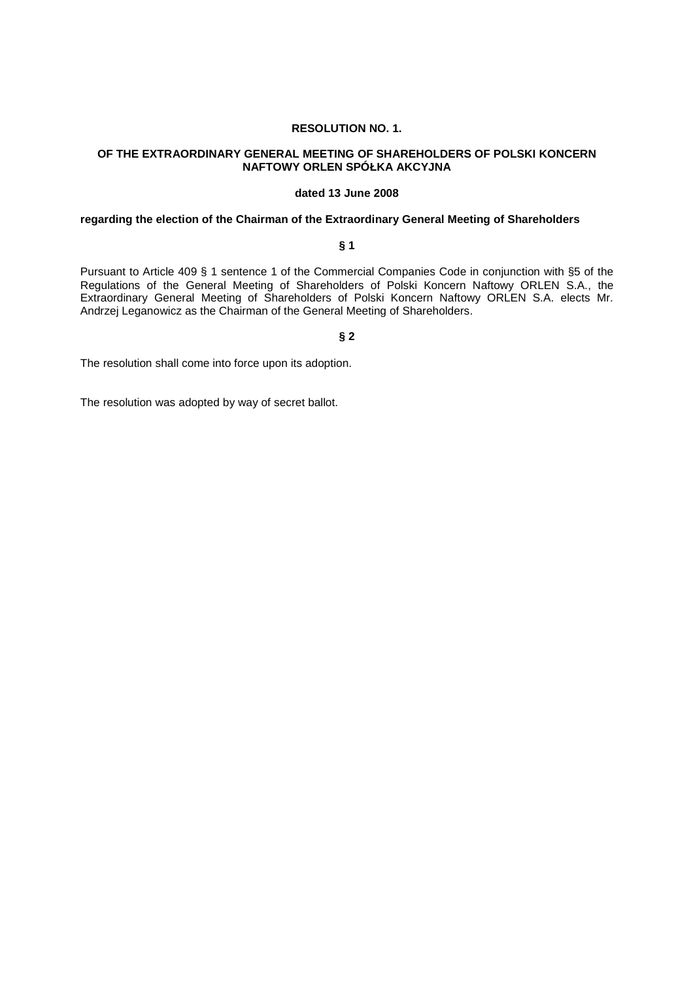### **RESOLUTION NO. 1.**

## **OF THE EXTRAORDINARY GENERAL MEETING OF SHAREHOLDERS OF POLSKI KONCERN NAFTOWY ORLEN SPÓŁKA AKCYJNA**

## **dated 13 June 2008**

## **regarding the election of the Chairman of the Extraordinary General Meeting of Shareholders**

## **§ 1**

Pursuant to Article 409 § 1 sentence 1 of the Commercial Companies Code in conjunction with §5 of the Regulations of the General Meeting of Shareholders of Polski Koncern Naftowy ORLEN S.A., the Extraordinary General Meeting of Shareholders of Polski Koncern Naftowy ORLEN S.A. elects Mr. Andrzej Leganowicz as the Chairman of the General Meeting of Shareholders.

#### **§ 2**

The resolution shall come into force upon its adoption.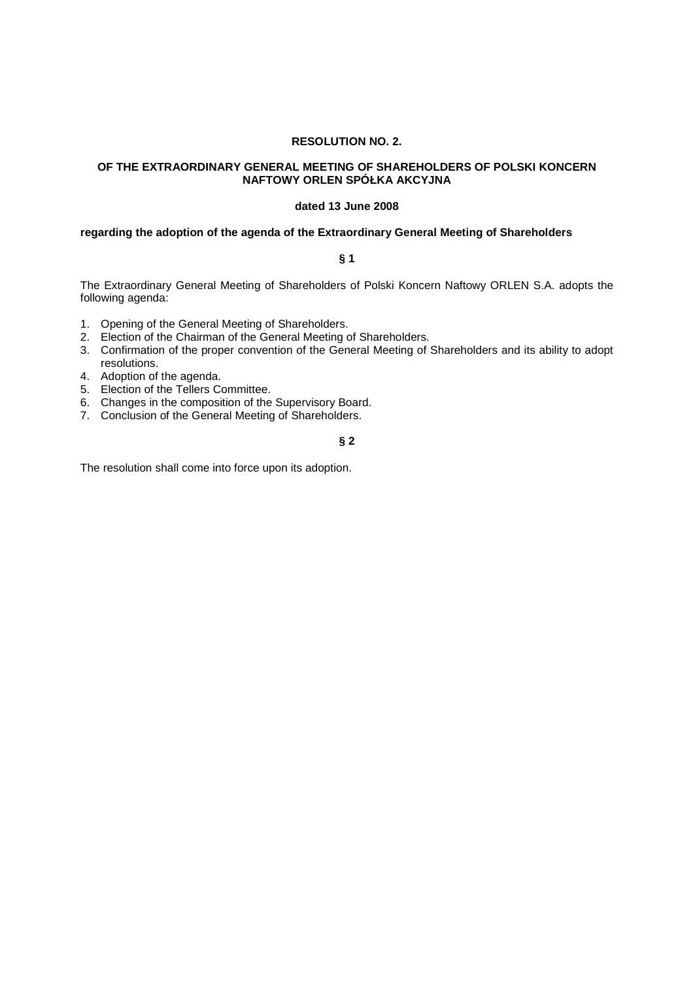## **RESOLUTION NO. 2.**

## **OF THE EXTRAORDINARY GENERAL MEETING OF SHAREHOLDERS OF POLSKI KONCERN NAFTOWY ORLEN SPÓŁKA AKCYJNA**

#### **dated 13 June 2008**

#### **regarding the adoption of the agenda of the Extraordinary General Meeting of Shareholders**

## **§ 1**

The Extraordinary General Meeting of Shareholders of Polski Koncern Naftowy ORLEN S.A. adopts the following agenda:

- 1. Opening of the General Meeting of Shareholders.
- 2. Election of the Chairman of the General Meeting of Shareholders.
- 3. Confirmation of the proper convention of the General Meeting of Shareholders and its ability to adopt resolutions.
- 4. Adoption of the agenda.
- 5. Election of the Tellers Committee.
- 6. Changes in the composition of the Supervisory Board.
- 7. Conclusion of the General Meeting of Shareholders.

## **§ 2**

The resolution shall come into force upon its adoption.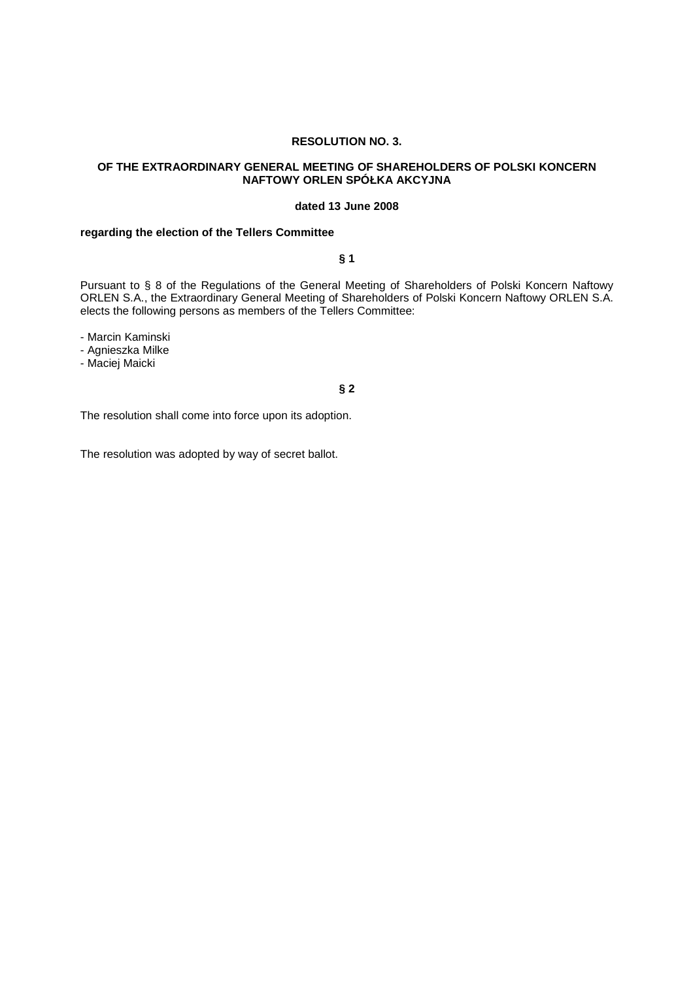### **RESOLUTION NO. 3.**

## **OF THE EXTRAORDINARY GENERAL MEETING OF SHAREHOLDERS OF POLSKI KONCERN NAFTOWY ORLEN SPÓŁKA AKCYJNA**

#### **dated 13 June 2008**

## **regarding the election of the Tellers Committee**

## **§ 1**

Pursuant to § 8 of the Regulations of the General Meeting of Shareholders of Polski Koncern Naftowy ORLEN S.A., the Extraordinary General Meeting of Shareholders of Polski Koncern Naftowy ORLEN S.A. elects the following persons as members of the Tellers Committee:

- Marcin Kaminski

- Agnieszka Milke

- Maciej Maicki

#### **§ 2**

The resolution shall come into force upon its adoption.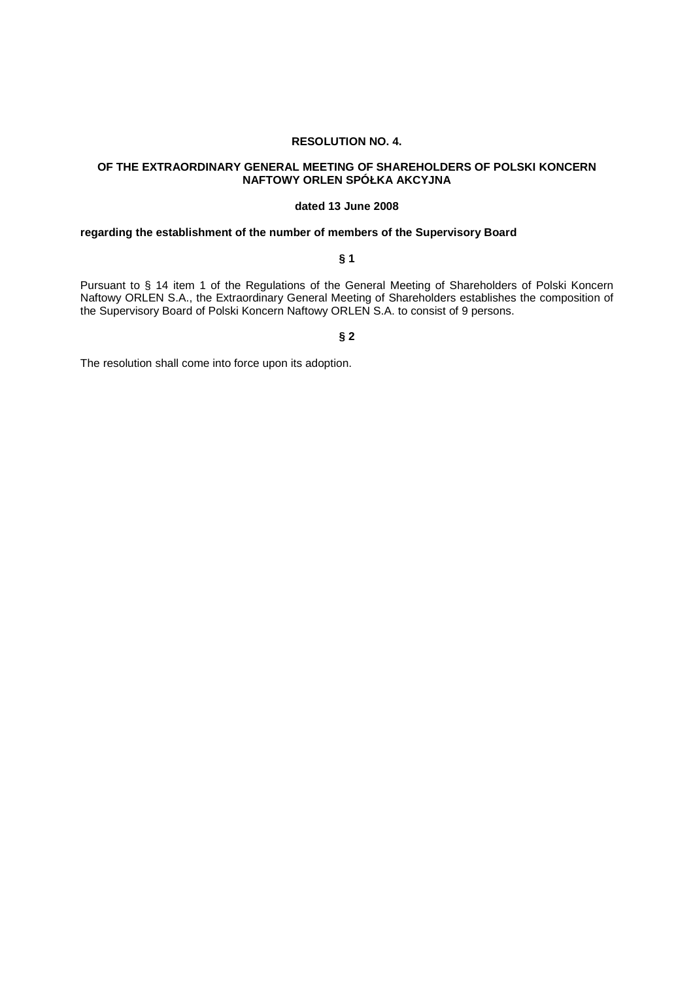## **RESOLUTION NO. 4.**

## **OF THE EXTRAORDINARY GENERAL MEETING OF SHAREHOLDERS OF POLSKI KONCERN NAFTOWY ORLEN SPÓŁKA AKCYJNA**

## **dated 13 June 2008**

## **regarding the establishment of the number of members of the Supervisory Board**

## **§ 1**

Pursuant to § 14 item 1 of the Regulations of the General Meeting of Shareholders of Polski Koncern Naftowy ORLEN S.A., the Extraordinary General Meeting of Shareholders establishes the composition of the Supervisory Board of Polski Koncern Naftowy ORLEN S.A. to consist of 9 persons.

#### **§ 2**

The resolution shall come into force upon its adoption.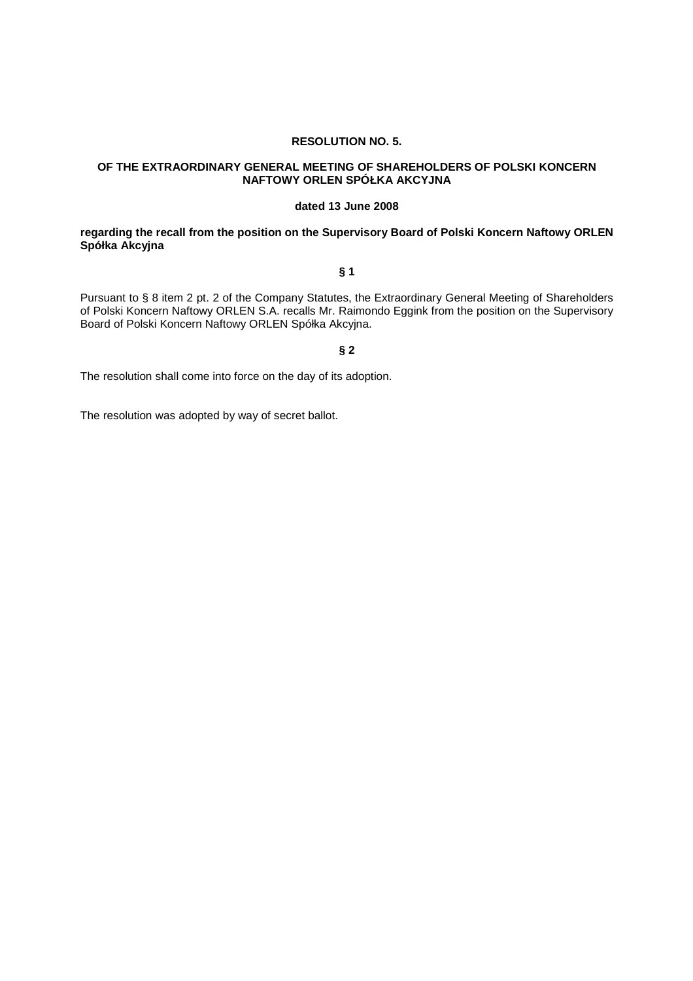### **RESOLUTION NO. 5.**

## **OF THE EXTRAORDINARY GENERAL MEETING OF SHAREHOLDERS OF POLSKI KONCERN NAFTOWY ORLEN SPÓŁKA AKCYJNA**

#### **dated 13 June 2008**

## **regarding the recall from the position on the Supervisory Board of Polski Koncern Naftowy ORLEN Spółka Akcyjna**

## **§ 1**

Pursuant to § 8 item 2 pt. 2 of the Company Statutes, the Extraordinary General Meeting of Shareholders of Polski Koncern Naftowy ORLEN S.A. recalls Mr. Raimondo Eggink from the position on the Supervisory Board of Polski Koncern Naftowy ORLEN Spółka Akcyjna.

# **§ 2**

The resolution shall come into force on the day of its adoption.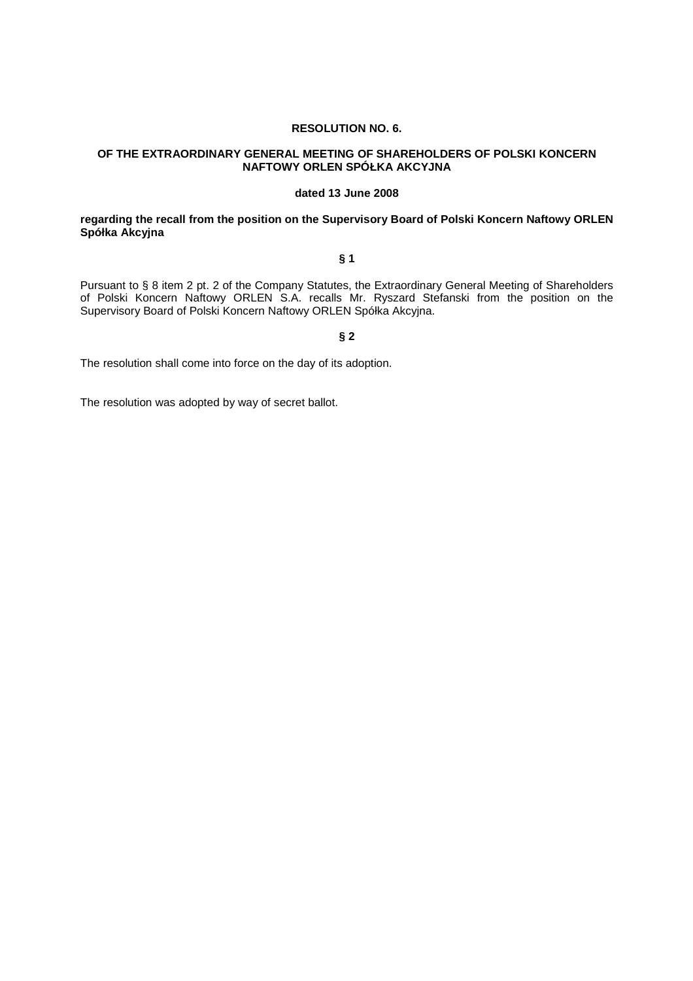### **RESOLUTION NO. 6.**

## **OF THE EXTRAORDINARY GENERAL MEETING OF SHAREHOLDERS OF POLSKI KONCERN NAFTOWY ORLEN SPÓŁKA AKCYJNA**

## **dated 13 June 2008**

## **regarding the recall from the position on the Supervisory Board of Polski Koncern Naftowy ORLEN Spółka Akcyjna**

## **§ 1**

Pursuant to § 8 item 2 pt. 2 of the Company Statutes, the Extraordinary General Meeting of Shareholders of Polski Koncern Naftowy ORLEN S.A. recalls Mr. Ryszard Stefanski from the position on the Supervisory Board of Polski Koncern Naftowy ORLEN Spółka Akcyjna.

## **§ 2**

The resolution shall come into force on the day of its adoption.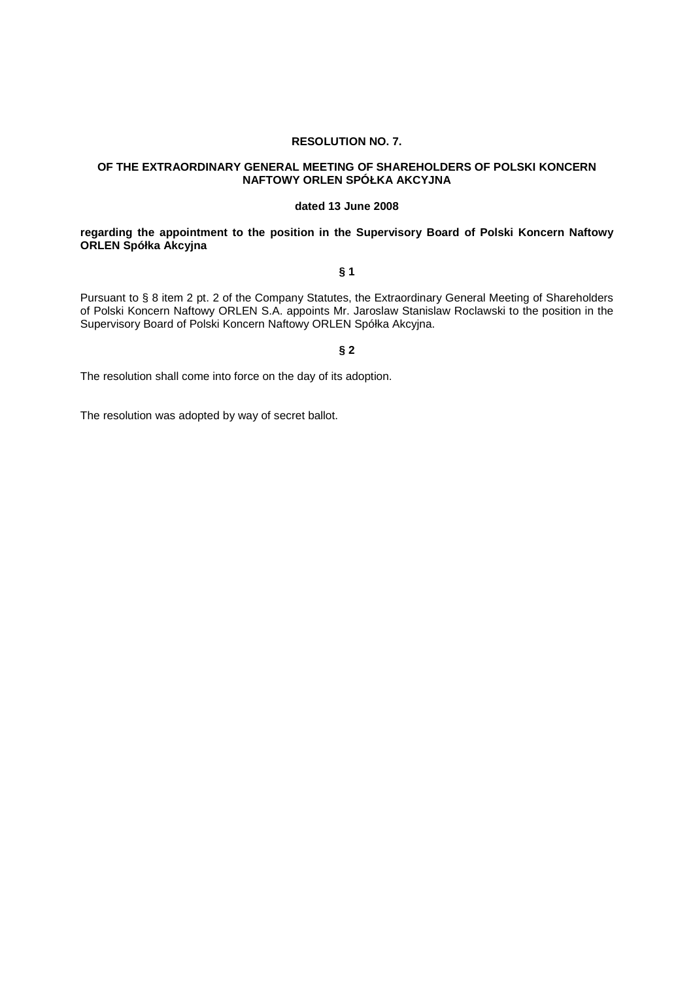### **RESOLUTION NO. 7.**

## **OF THE EXTRAORDINARY GENERAL MEETING OF SHAREHOLDERS OF POLSKI KONCERN NAFTOWY ORLEN SPÓŁKA AKCYJNA**

#### **dated 13 June 2008**

## **regarding the appointment to the position in the Supervisory Board of Polski Koncern Naftowy ORLEN Spółka Akcyjna**

#### **§ 1**

Pursuant to § 8 item 2 pt. 2 of the Company Statutes, the Extraordinary General Meeting of Shareholders of Polski Koncern Naftowy ORLEN S.A. appoints Mr. Jaroslaw Stanislaw Roclawski to the position in the Supervisory Board of Polski Koncern Naftowy ORLEN Spółka Akcyjna.

# **§ 2**

The resolution shall come into force on the day of its adoption.